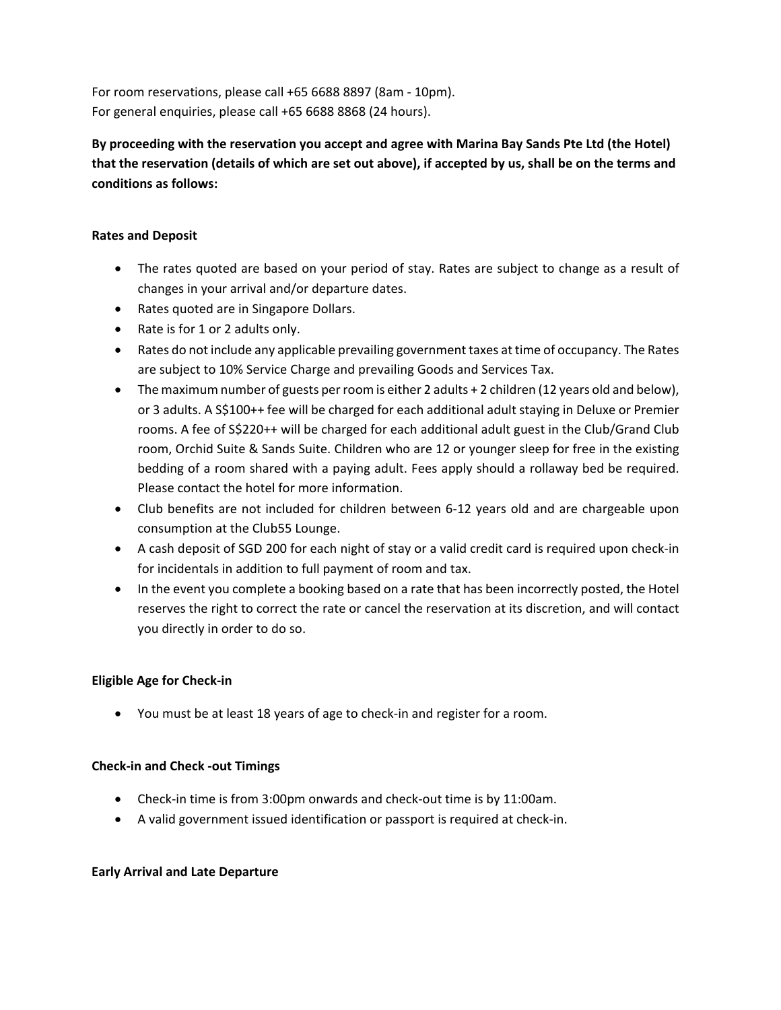For room reservations, please call +65 6688 8897 (8am - 10pm). For general enquiries, please call +65 6688 8868 (24 hours).

**By proceeding with the reservation you accept and agree with Marina Bay Sands Pte Ltd (the Hotel) that the reservation (details of which are set out above), if accepted by us, shall be on the terms and conditions as follows:**

## **Rates and Deposit**

- The rates quoted are based on your period of stay. Rates are subject to change as a result of changes in your arrival and/or departure dates.
- Rates quoted are in Singapore Dollars.
- Rate is for 1 or 2 adults only.
- Rates do not include any applicable prevailing government taxes at time of occupancy. The Rates are subject to 10% Service Charge and prevailing Goods and Services Tax.
- The maximum number of guests per room is either 2 adults + 2 children (12 years old and below), or 3 adults. A S\$100++ fee will be charged for each additional adult staying in Deluxe or Premier rooms. A fee of S\$220++ will be charged for each additional adult guest in the Club/Grand Club room, Orchid Suite & Sands Suite. Children who are 12 or younger sleep for free in the existing bedding of a room shared with a paying adult. Fees apply should a rollaway bed be required. Please contact the hotel for more information.
- Club benefits are not included for children between 6-12 years old and are chargeable upon consumption at the Club55 Lounge.
- A cash deposit of SGD 200 for each night of stay or a valid credit card is required upon check-in for incidentals in addition to full payment of room and tax.
- In the event you complete a booking based on a rate that has been incorrectly posted, the Hotel reserves the right to correct the rate or cancel the reservation at its discretion, and will contact you directly in order to do so.

# **Eligible Age for Check-in**

• You must be at least 18 years of age to check-in and register for a room.

#### **Check-in and Check -out Timings**

- Check-in time is from 3:00pm onwards and check-out time is by 11:00am.
- A valid government issued identification or passport is required at check-in.

#### **Early Arrival and Late Departure**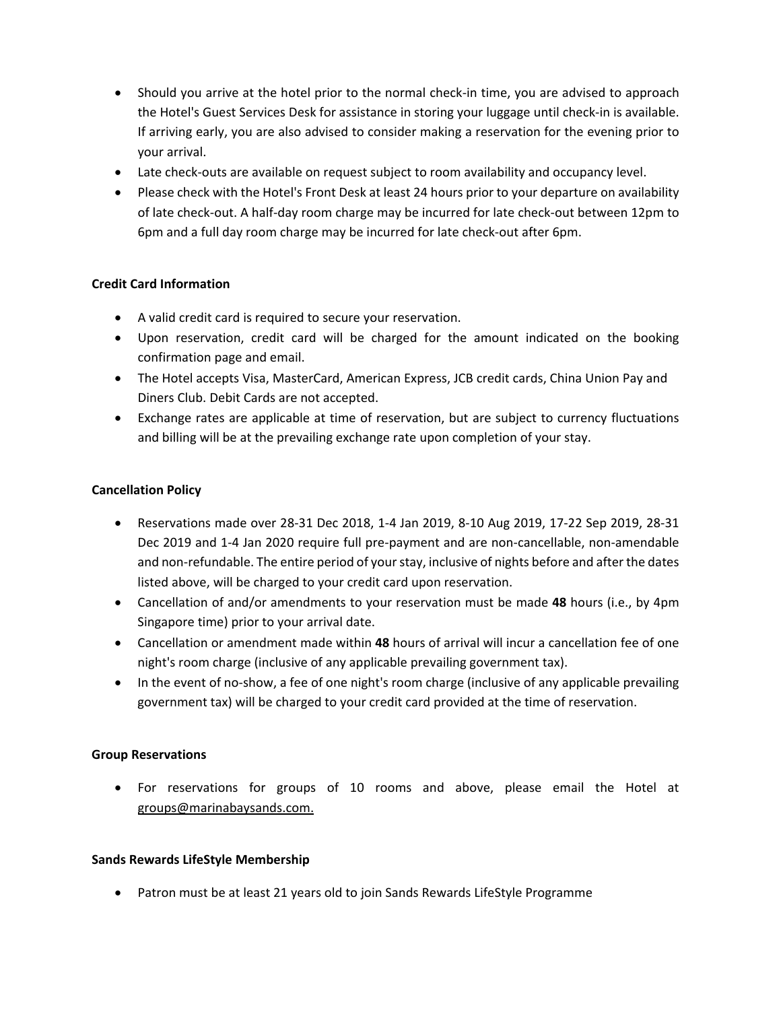- Should you arrive at the hotel prior to the normal check-in time, you are advised to approach the Hotel's Guest Services Desk for assistance in storing your luggage until check-in is available. If arriving early, you are also advised to consider making a reservation for the evening prior to your arrival.
- Late check-outs are available on request subject to room availability and occupancy level.
- Please check with the Hotel's Front Desk at least 24 hours prior to your departure on availability of late check-out. A half-day room charge may be incurred for late check-out between 12pm to 6pm and a full day room charge may be incurred for late check-out after 6pm.

## **Credit Card Information**

- A valid credit card is required to secure your reservation.
- Upon reservation, credit card will be charged for the amount indicated on the booking confirmation page and email.
- The Hotel accepts Visa, MasterCard, American Express, JCB credit cards, China Union Pay and Diners Club. Debit Cards are not accepted.
- Exchange rates are applicable at time of reservation, but are subject to currency fluctuations and billing will be at the prevailing exchange rate upon completion of your stay.

#### **Cancellation Policy**

- Reservations made over 28-31 Dec 2018, 1-4 Jan 2019, 8-10 Aug 2019, 17-22 Sep 2019, 28-31 Dec 2019 and 1-4 Jan 2020 require full pre-payment and are non-cancellable, non-amendable and non-refundable. The entire period of your stay, inclusive of nights before and after the dates listed above, will be charged to your credit card upon reservation.
- Cancellation of and/or amendments to your reservation must be made **48** hours (i.e., by 4pm Singapore time) prior to your arrival date.
- Cancellation or amendment made within **48** hours of arrival will incur a cancellation fee of one night's room charge (inclusive of any applicable prevailing government tax).
- In the event of no-show, a fee of one night's room charge (inclusive of any applicable prevailing government tax) will be charged to your credit card provided at the time of reservation.

#### **Group Reservations**

• For reservations for groups of 10 rooms and above, please email the Hotel at groups@marinabaysands.com.

#### **Sands Rewards LifeStyle Membership**

• Patron must be at least 21 years old to join Sands Rewards LifeStyle Programme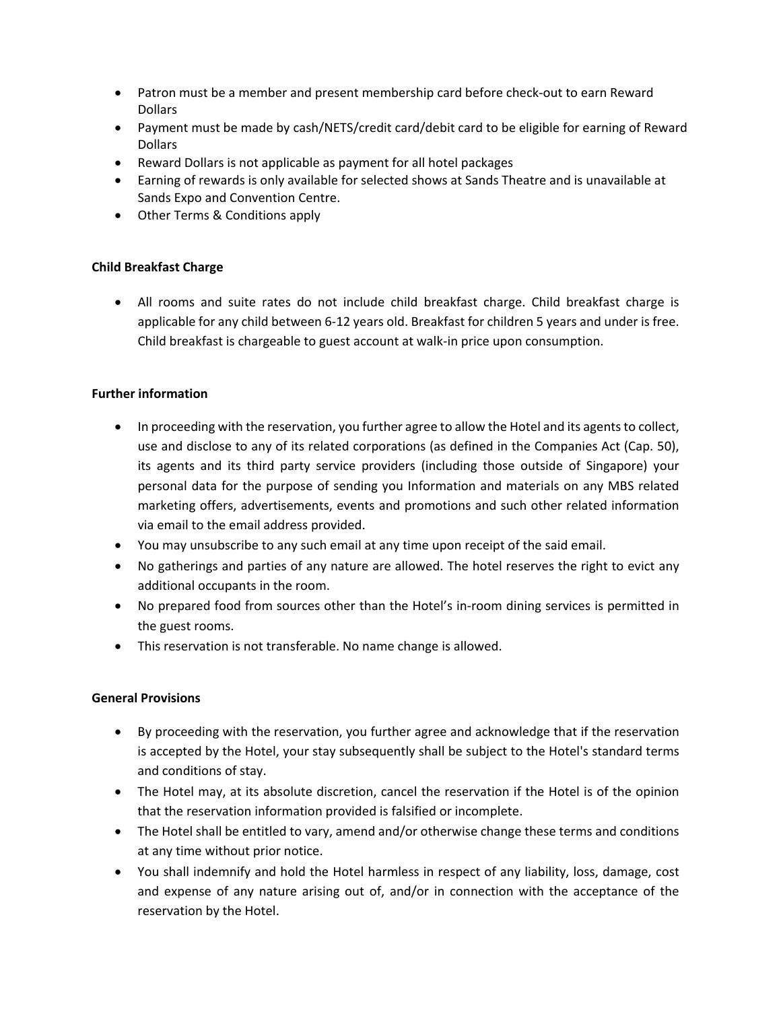- Patron must be a member and present membership card before check-out to earn Reward Dollars
- Payment must be made by cash/NETS/credit card/debit card to be eligible for earning of Reward **Dollars**
- Reward Dollars is not applicable as payment for all hotel packages
- Earning of rewards is only available for selected shows at Sands Theatre and is unavailable at Sands Expo and Convention Centre.
- Other Terms & Conditions apply

# **Child Breakfast Charge**

• All rooms and suite rates do not include child breakfast charge. Child breakfast charge is applicable for any child between 6-12 years old. Breakfast for children 5 years and under is free. Child breakfast is chargeable to guest account at walk-in price upon consumption.

# **Further information**

- In proceeding with the reservation, you further agree to allow the Hotel and its agents to collect, use and disclose to any of its related corporations (as defined in the Companies Act (Cap. 50), its agents and its third party service providers (including those outside of Singapore) your personal data for the purpose of sending you Information and materials on any MBS related marketing offers, advertisements, events and promotions and such other related information via email to the email address provided.
- You may unsubscribe to any such email at any time upon receipt of the said email.
- No gatherings and parties of any nature are allowed. The hotel reserves the right to evict any additional occupants in the room.
- No prepared food from sources other than the Hotel's in-room dining services is permitted in the guest rooms.
- This reservation is not transferable. No name change is allowed.

# **General Provisions**

- By proceeding with the reservation, you further agree and acknowledge that if the reservation is accepted by the Hotel, your stay subsequently shall be subject to the Hotel's standard terms and conditions of stay.
- The Hotel may, at its absolute discretion, cancel the reservation if the Hotel is of the opinion that the reservation information provided is falsified or incomplete.
- The Hotel shall be entitled to vary, amend and/or otherwise change these terms and conditions at any time without prior notice.
- You shall indemnify and hold the Hotel harmless in respect of any liability, loss, damage, cost and expense of any nature arising out of, and/or in connection with the acceptance of the reservation by the Hotel.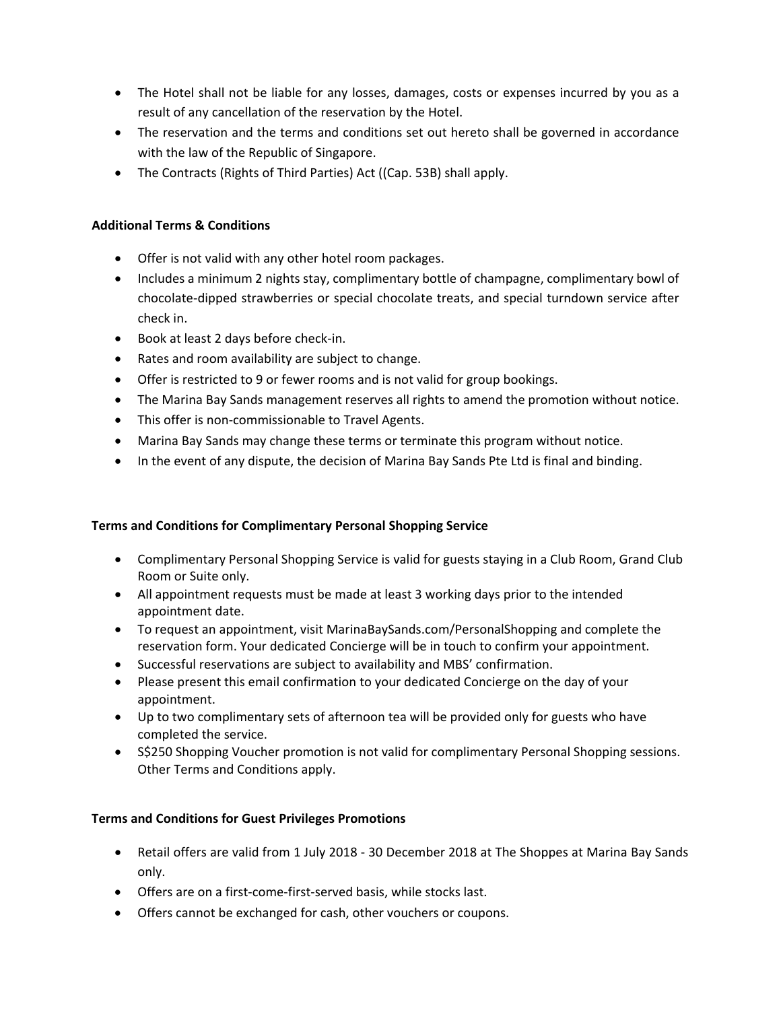- The Hotel shall not be liable for any losses, damages, costs or expenses incurred by you as a result of any cancellation of the reservation by the Hotel.
- The reservation and the terms and conditions set out hereto shall be governed in accordance with the law of the Republic of Singapore.
- The Contracts (Rights of Third Parties) Act ((Cap. 53B) shall apply.

## **Additional Terms & Conditions**

- Offer is not valid with any other hotel room packages.
- Includes a minimum 2 nights stay, complimentary bottle of champagne, complimentary bowl of chocolate-dipped strawberries or special chocolate treats, and special turndown service after check in.
- Book at least 2 days before check-in.
- Rates and room availability are subject to change.
- Offer is restricted to 9 or fewer rooms and is not valid for group bookings.
- The Marina Bay Sands management reserves all rights to amend the promotion without notice.
- This offer is non-commissionable to Travel Agents.
- Marina Bay Sands may change these terms or terminate this program without notice.
- In the event of any dispute, the decision of Marina Bay Sands Pte Ltd is final and binding.

# **Terms and Conditions for Complimentary Personal Shopping Service**

- Complimentary Personal Shopping Service is valid for guests staying in a Club Room, Grand Club Room or Suite only.
- All appointment requests must be made at least 3 working days prior to the intended appointment date.
- To request an appointment, visit MarinaBaySands.com/PersonalShopping and complete the reservation form. Your dedicated Concierge will be in touch to confirm your appointment.
- Successful reservations are subject to availability and MBS' confirmation.
- Please present this email confirmation to your dedicated Concierge on the day of your appointment.
- Up to two complimentary sets of afternoon tea will be provided only for guests who have completed the service.
- S\$250 Shopping Voucher promotion is not valid for complimentary Personal Shopping sessions. Other Terms and Conditions apply.

# **Terms and Conditions for Guest Privileges Promotions**

- Retail offers are valid from 1 July 2018 30 December 2018 at The Shoppes at Marina Bay Sands only.
- Offers are on a first-come-first-served basis, while stocks last.
- Offers cannot be exchanged for cash, other vouchers or coupons.